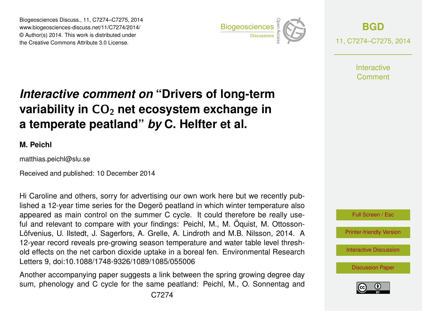Biogeosciences Discuss., 11, C7274–C7275, 2014 www.biogeosciences-discuss.net/11/C7274/2014/ © Author(s) 2014. This work is distributed under Biogeosciences Discuss., 11, C7274–C7275, 2014<br>www.biogeosciences-discuss.net/11/C7274/2014/<br>© Author(s) 2014. This work is distributed under<br>the Creative Commons Attribute 3.0 License.



**[BGD](http://www.biogeosciences-discuss.net)** 11, C7274–C7275, 2014

> **Interactive** Comment

## *Interactive comment on* **"Drivers of long-term variability in CO<sub>2</sub> net ecosystem exchange in a temperate peatland"** *by* **C. Helfter et al.**

## **M. Peichl**

matthias.peichl@slu.se

Received and published: 10 December 2014

Hi Caroline and others, sorry for advertising our own work here but we recently published a 12-year time series for the Degerö peatland in which winter temperature also appeared as main control on the summer C cycle. It could therefore be really useful and relevant to compare with your findings: Peichl, M., M. Öquist, M. Ottosson-Löfvenius, U. Ilstedt, J. Sagerfors, A. Grelle, A. Lindroth and M.B. Nilsson, 2014. A 12-year record reveals pre-growing season temperature and water table level threshold effects on the net carbon dioxide uptake in a boreal fen. Environmental Research Letters 9, doi:10.1088/1748-9326/1089/1085/055006

Another accompanying paper suggests a link between the spring growing degree day sum, phenology and C cycle for the same peatland: Peichl, M., O. Sonnentag and